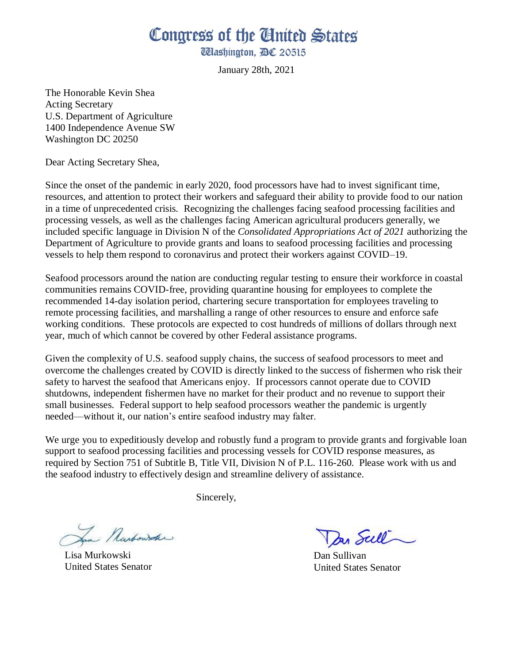## Congress of the United States

**Washington, AC 20515** 

January 28th, 2021

The Honorable Kevin Shea Acting Secretary U.S. Department of Agriculture 1400 Independence Avenue SW Washington DC 20250

Dear Acting Secretary Shea,

Since the onset of the pandemic in early 2020, food processors have had to invest significant time, resources, and attention to protect their workers and safeguard their ability to provide food to our nation in a time of unprecedented crisis. Recognizing the challenges facing seafood processing facilities and processing vessels, as well as the challenges facing American agricultural producers generally, we included specific language in Division N of the *Consolidated Appropriations Act of 2021* authorizing the Department of Agriculture to provide grants and loans to seafood processing facilities and processing vessels to help them respond to coronavirus and protect their workers against COVID–19.

Seafood processors around the nation are conducting regular testing to ensure their workforce in coastal communities remains COVID-free, providing quarantine housing for employees to complete the recommended 14-day isolation period, chartering secure transportation for employees traveling to remote processing facilities, and marshalling a range of other resources to ensure and enforce safe working conditions. These protocols are expected to cost hundreds of millions of dollars through next year, much of which cannot be covered by other Federal assistance programs.

Given the complexity of U.S. seafood supply chains, the success of seafood processors to meet and overcome the challenges created by COVID is directly linked to the success of fishermen who risk their safety to harvest the seafood that Americans enjoy. If processors cannot operate due to COVID shutdowns, independent fishermen have no market for their product and no revenue to support their small businesses. Federal support to help seafood processors weather the pandemic is urgently needed—without it, our nation's entire seafood industry may falter.

We urge you to expeditiously develop and robustly fund a program to provide grants and forgivable loan support to seafood processing facilities and processing vessels for COVID response measures, as required by Section 751 of Subtitle B, Title VII, Division N of P.L. 116-260. Please work with us and the seafood industry to effectively design and streamline delivery of assistance.

Sincerely,

La Narbowske

Lisa Murkowski United States Senator

Dan Sull

Dan Sullivan United States Senator